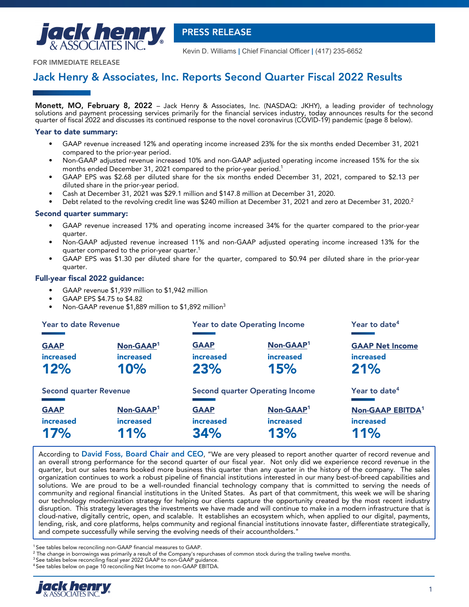

 **PRESS RELEASE**

Kevin D. Williams **|** Chief Financial Officer **|** (417) 235-6652

**FOR IMMEDIATE RELEASE**

# **Jack Henry & Associates, Inc. Reports Second Quarter Fiscal 2022 Results**

**Monett, MO, February 8, 2022** – Jack Henry & Associates, Inc. (NASDAQ: JKHY), a leading provider of technology solutions and payment processing services primarily for the financial services industry, today announces results for the second quarter of fiscal 2022 and discusses its continued response to the novel coronavirus (COVID-19) pandemic (page 8 below).

### **Year to date summary:**

- GAAP revenue increased 12% and operating income increased 23% for the six months ended December 31, 2021 compared to the prior-year period.
- Non-GAAP adjusted revenue increased 10% and non-GAAP adjusted operating income increased 15% for the six months ended December 31, 2021 compared to the prior-year period.<sup>1</sup>
- GAAP EPS was \$2.68 per diluted share for the six months ended December 31, 2021, compared to \$2.13 per diluted share in the prior-year period.
- Cash at December 31, 2021 was \$29.1 million and \$147.8 million at December 31, 2020.
- Debt related to the revolving credit line was \$240 million at December 31, 2021 and zero at December 31, 2020.<sup>2</sup>

### **Second quarter summary:**

- **•** GAAP revenue increased 17% and operating income increased 34% for the quarter compared to the prior-year quarter.
- Non-GAAP adjusted revenue increased 11% and non-GAAP adjusted operating income increased 13% for the quarter compared to the prior-year quarter.<sup>1</sup>
- GAAP EPS was \$1.30 per diluted share for the quarter, compared to \$0.94 per diluted share in the prior-year quarter.

## **Full-year fiscal 2022 guidance:**

- GAAP revenue \$1,939 million to \$1,942 million
- GAAP EPS \$4.75 to \$4.82
- Non-GAAP revenue \$1,889 million to \$1,892 million<sup>3</sup>

| Year to date Revenue          |                       |                  | <b>Year to date Operating Income</b>   | Year to date <sup>4</sup> |
|-------------------------------|-----------------------|------------------|----------------------------------------|---------------------------|
| <b>GAAP</b>                   | Non-GAAP <sup>1</sup> | <b>GAAP</b>      | Non-GAAP <sup>1</sup>                  | <b>GAAP Net Income</b>    |
| increased                     | <b>increased</b>      | <b>increased</b> | <b>increased</b>                       | increased                 |
| 12%                           | 10%                   | 23%              | 15%                                    | 21%                       |
| <b>Second quarter Revenue</b> |                       |                  | <b>Second quarter Operating Income</b> | Year to date <sup>4</sup> |
| <b>GAAP</b>                   | Non-GAAP <sup>1</sup> | <b>GAAP</b>      | Non-GAAP <sup>1</sup>                  | <b>Non-GAAP EBITDA1</b>   |
| <b>increased</b>              | <b>increased</b>      | <b>increased</b> | <b>increased</b>                       | increased                 |
| 17%                           | 11%                   | 34%              | 13%                                    | 11%                       |

According to **David Foss, Board Chair and CEO**, "We are very pleased to report another quarter of record revenue and an overall strong performance for the second quarter of our fiscal year. Not only did we experience record revenue in the quarter, but our sales teams booked more business this quarter than any quarter in the history of the company. The sales organization continues to work a robust pipeline of financial institutions interested in our many best-of-breed capabilities and solutions. We are proud to be a well-rounded financial technology company that is committed to serving the needs of community and regional financial institutions in the United States. As part of that commitment, this week we will be sharing our technology modernization strategy for helping our clients capture the opportunity created by the most recent industry disruption. This strategy leverages the investments we have made and will continue to make in a modern infrastructure that is cloud-native, digitally centric, open, and scalable. It establishes an ecosystem which, when applied to our digital, payments, lending, risk, and core platforms, helps community and regional financial institutions innovate faster, differentiate strategically, and compete successfully while serving the evolving needs of their accountholders."

<sup>1</sup> See tables below reconciling non-GAAP financial measures to GAAP.

<sup>4</sup>See tables below on page 10 reconciling Net Income to non-GAAP EBITDA.



 $^2$  The change in borrowings was primarily a result of the Company's repurchases of common stock during the trailing twelve months.

<sup>&</sup>lt;sup>3</sup> See tables below reconciling fiscal year 2022 GAAP to non-GAAP guidance.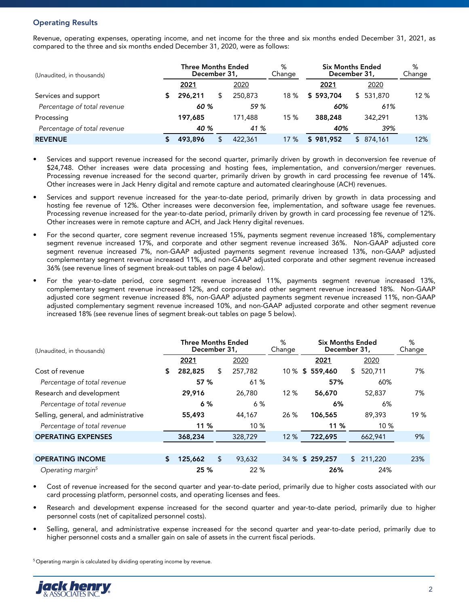# **Operating Results**

Revenue, operating expenses, operating income, and net income for the three and six months ended December 31, 2021, as compared to the three and six months ended December 31, 2020, were as follows:

| (Unaudited, in thousands)   |  | <b>Three Months Ended</b><br>December 31. |  |         | %<br>Change | <b>Six Months Ended</b><br>December 31, | %<br>Change |     |
|-----------------------------|--|-------------------------------------------|--|---------|-------------|-----------------------------------------|-------------|-----|
|                             |  | 2021                                      |  | 2020    |             | 2021                                    | 2020        |     |
| Services and support        |  | 296,211                                   |  | 250,873 | 18 %        | \$593,704                               | \$ 531,870  | 12% |
| Percentage of total revenue |  | 60%                                       |  | 59 %    |             | 60%                                     | 61%         |     |
| Processing                  |  | 197,685                                   |  | 171,488 | 15%         | 388,248                                 | 342,291     | 13% |
| Percentage of total revenue |  | 40 %                                      |  | 41 %    |             | 40%                                     | 39%         |     |
| <b>REVENUE</b>              |  | 493,896                                   |  | 422,361 | 17%         | \$981,952                               | \$ 874,161  | 12% |

- Services and support revenue increased for the second quarter, primarily driven by growth in deconversion fee revenue of \$24,748. Other increases were data processing and hosting fees, implementation, and conversion/merger revenues. Processing revenue increased for the second quarter, primarily driven by growth in card processing fee revenue of 14%. Other increases were in Jack Henry digital and remote capture and automated clearinghouse (ACH) revenues.
- Services and support revenue increased for the year-to-date period, primarily driven by growth in data processing and hosting fee revenue of 12%. Other increases were deconversion fee, implementation, and software usage fee revenues. Processing revenue increased for the year-to-date period, primarily driven by growth in card processing fee revenue of 12%. Other increases were in remote capture and ACH, and Jack Henry digital revenues.
- For the second quarter, core segment revenue increased 15%, payments segment revenue increased 18%, complementary segment revenue increased 17%, and corporate and other segment revenue increased 36%. Non-GAAP adjusted core segment revenue increased 7%, non-GAAP adjusted payments segment revenue increased 13%, non-GAAP adjusted complementary segment revenue increased 11%, and non-GAAP adjusted corporate and other segment revenue increased 36% (see revenue lines of segment break-out tables on page 4 below).
- For the year-to-date period, core segment revenue increased 11%, payments segment revenue increased 13%, complementary segment revenue increased 12%, and corporate and other segment revenue increased 18%. Non-GAAP adjusted core segment revenue increased 8%, non-GAAP adjusted payments segment revenue increased 11%, non-GAAP adjusted complementary segment revenue increased 10%, and non-GAAP adjusted corporate and other segment revenue increased 18% (see revenue lines of segment break-out tables on page 5 below).

| (Unaudited, in thousands)            |   | <b>Three Months Ended</b><br>December 31, |    |         | %<br>Change |        | <b>Six Months Ended</b><br>December 31, |               | ℅<br>Change |
|--------------------------------------|---|-------------------------------------------|----|---------|-------------|--------|-----------------------------------------|---------------|-------------|
|                                      |   | 2021                                      |    | 2020    |             |        | 2021                                    | 2020          |             |
| Cost of revenue                      | 5 | 282,825                                   | \$ | 257,782 |             |        | 10 % \$ 559,460                         | \$<br>520,711 | 7%          |
| Percentage of total revenue          |   | 57 %<br>61 %                              |    |         |             | 57%    | 60%                                     |               |             |
| Research and development             |   | 29,916                                    |    | 26,780  | 12%         | 56,670 |                                         | 52,837        | 7%          |
| Percentage of total revenue          |   | 6%                                        |    | 6 %     |             |        | 6%                                      | 6%            |             |
| Selling, general, and administrative |   | 55,493                                    |    | 44,167  | 26 %        |        | 106,565                                 | 89,393        | 19 %        |
| Percentage of total revenue          |   | 11 %                                      |    | 10 %    |             |        | 11 %                                    | 10 %          |             |
| <b>OPERATING EXPENSES</b>            |   | 368,234                                   |    | 328,729 | 12 %        |        | 722,695                                 | 662,941       | 9%          |
|                                      |   |                                           |    |         |             |        |                                         |               |             |
| <b>OPERATING INCOME</b>              |   | 125,662                                   | \$ | 93,632  |             |        | 34 % \$ 259,257                         | \$<br>211,220 | 23%         |
| Operating margin <sup>5</sup>        |   | 25 %                                      |    | 22%     |             |        | 26%                                     | 24%           |             |

• Cost of revenue increased for the second quarter and year-to-date period, primarily due to higher costs associated with our card processing platform, personnel costs, and operating licenses and fees.

- Research and development expense increased for the second quarter and year-to-date period, primarily due to higher personnel costs (net of capitalized personnel costs).
- Selling, general, and administrative expense increased for the second quarter and year-to-date period, primarily due to higher personnel costs and a smaller gain on sale of assets in the current fiscal periods.

 $5$  Operating margin is calculated by dividing operating income by revenue.

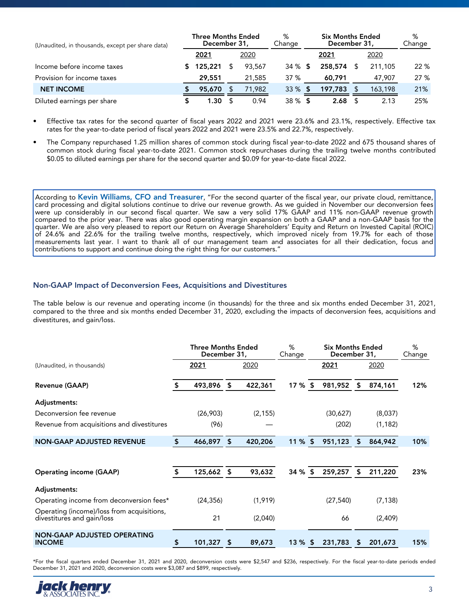| (Unaudited, in thousands, except per share data) |  | <b>Three Months Ended</b><br>December 31, |        | %<br>Change |      | <b>Six Months Ended</b><br>December 31, |   | %<br>Change |      |
|--------------------------------------------------|--|-------------------------------------------|--------|-------------|------|-----------------------------------------|---|-------------|------|
|                                                  |  | 2021                                      | 2020   |             |      | 2021                                    |   | 2020        |      |
| Income before income taxes                       |  | 125,221                                   | 93,567 | 34 %        | - 56 | 258,574                                 |   | 211,105     | 22 % |
| Provision for income taxes                       |  | 29,551                                    | 21,585 | 37 %        |      | 60,791                                  |   | 47.907      | 27%  |
| <b>NET INCOME</b>                                |  | 95,670                                    | 71,982 | 33%         |      | 197,783                                 |   | 163,198     | 21%  |
| Diluted earnings per share                       |  | 1.30                                      | 0.94   | 38 %        | S    | 2.68                                    | S | 2.13        | 25%  |

• Effective tax rates for the second quarter of fiscal years 2022 and 2021 were 23.6% and 23.1%, respectively. Effective tax rates for the year-to-date period of fiscal years 2022 and 2021 were 23.5% and 22.7%, respectively.

• The Company repurchased 1.25 million shares of common stock during fiscal year-to-date 2022 and 675 thousand shares of common stock during fiscal year-to-date 2021. Common stock repurchases during the trailing twelve months contributed \$0.05 to diluted earnings per share for the second quarter and \$0.09 for year-to-date fiscal 2022.

According to **Kevin Williams, CFO and Treasurer**, "For the second quarter of the fiscal year, our private cloud, remittance, card processing and digital solutions continue to drive our revenue growth. As we guided in November our deconversion fees were up considerably in our second fiscal quarter. We saw a very solid 17% GAAP and 11% non-GAAP revenue growth compared to the prior year. There was also good operating margin expansion on both a GAAP and a non-GAAP basis for the quarter. We are also very pleased to report our Return on Average Shareholders' Equity and Return on Invested Capital (ROIC) of 24.6% and 22.6% for the trailing twelve months, respectively, which improved nicely from 19.7% for each of those measurements last year. I want to thank all of our management team and associates for all their dedication, focus and contributions to support and continue doing the right thing for our customers."

## **Non-GAAP Impact of Deconversion Fees, Acquisitions and Divestitures**

The table below is our revenue and operating income (in thousands) for the three and six months ended December 31, 2021, compared to the three and six months ended December 31, 2020, excluding the impacts of deconversion fees, acquisitions and divestitures, and gain/loss.

|                                                                          |      | <b>Three Months Ended</b><br>December 31, | %<br>Change |          | <b>Six Months Ended</b><br>December 31, |      | %<br>Change |    |          |     |
|--------------------------------------------------------------------------|------|-------------------------------------------|-------------|----------|-----------------------------------------|------|-------------|----|----------|-----|
| (Unaudited, in thousands)                                                | 2021 |                                           |             | 2020     |                                         | 2021 |             |    | 2020     |     |
| <b>Revenue (GAAP)</b>                                                    | Ъ    | 493,896                                   | \$          | 422,361  | $17 \%$ \$                              |      | 981,952     | \$ | 874,161  | 12% |
| Adjustments:                                                             |      |                                           |             |          |                                         |      |             |    |          |     |
| Deconversion fee revenue                                                 |      | (26,903)                                  |             | (2, 155) |                                         |      | (30,627)    |    | (8,037)  |     |
| Revenue from acquisitions and divestitures                               |      | (96)                                      |             |          |                                         |      | (202)       |    | (1, 182) |     |
| <b>NON-GAAP ADJUSTED REVENUE</b>                                         | Я    | 466,897                                   | \$          | 420,206  | $11\%$ \$                               |      | 951,123     | S  | 864,942  | 10% |
|                                                                          |      |                                           |             |          |                                         |      |             |    |          |     |
| <b>Operating income (GAAP)</b>                                           |      | 125,662                                   | S           | 93,632   | 34 %                                    |      | 259,257     | \$ | 211,220  | 23% |
| Adjustments:                                                             |      |                                           |             |          |                                         |      |             |    |          |     |
| Operating income from deconversion fees*                                 |      | (24, 356)                                 |             | (1,919)  |                                         |      | (27, 540)   |    | (7, 138) |     |
| Operating (income)/loss from acquisitions,<br>divestitures and gain/loss |      | 21                                        |             | (2,040)  |                                         |      | 66          |    | (2,409)  |     |
| <b>NON-GAAP ADJUSTED OPERATING</b><br><b>INCOME</b>                      | \$   | 101,327                                   | S           | 89,673   | $13\%$ \$                               |      | 231,783     | S  | 201,673  | 15% |

\*For the fiscal quarters ended December 31, 2021 and 2020, deconversion costs were \$2,547 and \$236, respectively. For the fiscal year-to-date periods ended December 31, 2021 and 2020, deconversion costs were \$3,087 and \$899, respectively.

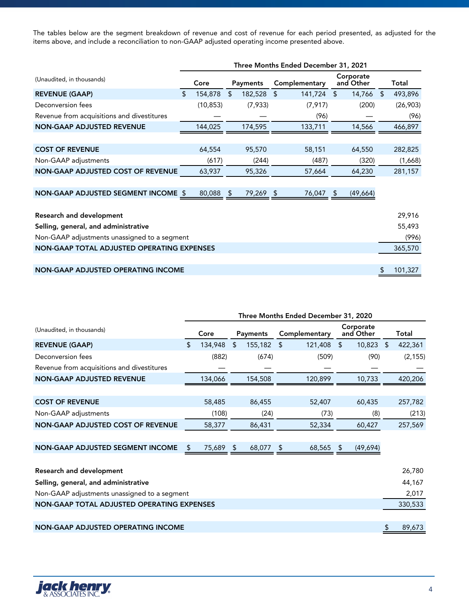The tables below are the segment breakdown of revenue and cost of revenue for each period presented, as adjusted for the items above, and include a reconciliation to non-GAAP adjusted operating income presented above.

|                                              | Three Months Ended December 31, 2021 |           |                |           |    |               |                |                        |    |          |  |
|----------------------------------------------|--------------------------------------|-----------|----------------|-----------|----|---------------|----------------|------------------------|----|----------|--|
| (Unaudited, in thousands)                    |                                      | Core      |                | Payments  |    | Complementary |                | Corporate<br>and Other |    | Total    |  |
| <b>REVENUE (GAAP)</b>                        | \$                                   | 154,878   | $\mathfrak{L}$ | 182,528   | \$ | 141,724       | $\mathfrak{L}$ | 14,766 \$              |    | 493,896  |  |
| Deconversion fees                            |                                      | (10, 853) |                | (7,933)   |    | (7, 917)      |                | (200)                  |    | (26,903) |  |
| Revenue from acquisitions and divestitures   |                                      |           |                |           |    | (96)          |                |                        |    | (96)     |  |
| <b>NON-GAAP ADJUSTED REVENUE</b>             |                                      | 144,025   |                | 174,595   |    | 133,711       |                | 14,566                 |    | 466,897  |  |
|                                              |                                      |           |                |           |    |               |                |                        |    |          |  |
| <b>COST OF REVENUE</b>                       |                                      | 64,554    |                | 95,570    |    | 58,151        |                | 64,550                 |    | 282,825  |  |
| Non-GAAP adjustments                         |                                      | (617)     |                | (244)     |    | (487)         |                | (320)                  |    | (1,668)  |  |
| <b>NON-GAAP ADJUSTED COST OF REVENUE</b>     |                                      | 63,937    |                | 95,326    |    | 57,664        |                | 64,230                 |    | 281,157  |  |
|                                              |                                      |           |                |           |    |               |                |                        |    |          |  |
| NON-GAAP ADJUSTED SEGMENT INCOME \$          |                                      | 80,088    | -S             | 79,269 \$ |    | 76,047        | - \$           | (49, 664)              |    |          |  |
|                                              |                                      |           |                |           |    |               |                |                        |    |          |  |
| <b>Research and development</b>              |                                      |           |                |           |    |               |                |                        |    | 29,916   |  |
| Selling, general, and administrative         |                                      |           |                |           |    |               |                |                        |    | 55,493   |  |
| Non-GAAP adjustments unassigned to a segment |                                      |           |                |           |    |               |                |                        |    | (996)    |  |
| NON-GAAP TOTAL ADJUSTED OPERATING EXPENSES   |                                      |           |                |           |    |               |                |                        |    | 365,570  |  |
|                                              |                                      |           |                |           |    |               |                |                        |    |          |  |
| <b>NON-GAAP ADJUSTED OPERATING INCOME</b>    |                                      |           |                |           |    |               |                |                        | \$ | 101,327  |  |

|                                              | Three Months Ended December 31, 2020 |           |    |           |    |               |    |                        |  |          |
|----------------------------------------------|--------------------------------------|-----------|----|-----------|----|---------------|----|------------------------|--|----------|
| (Unaudited, in thousands)                    |                                      | Core      |    | Payments  |    | Complementary |    | Corporate<br>and Other |  | Total    |
| <b>REVENUE (GAAP)</b>                        | \$                                   | 134,948   | \$ | 155,182   | \$ | 121,408       | \$ | $10,823$ \$            |  | 422,361  |
| Deconversion fees                            |                                      | (882)     |    | (674)     |    | (509)         |    | (90)                   |  | (2, 155) |
| Revenue from acquisitions and divestitures   |                                      |           |    |           |    |               |    |                        |  |          |
| <b>NON-GAAP ADJUSTED REVENUE</b>             |                                      | 134,066   |    | 154,508   |    | 120,899       |    | 10,733                 |  | 420,206  |
|                                              |                                      |           |    |           |    |               |    |                        |  |          |
| <b>COST OF REVENUE</b>                       |                                      | 58,485    |    | 86,455    |    | 52,407        |    | 60,435                 |  | 257,782  |
| Non-GAAP adjustments                         |                                      | (108)     |    | (24)      |    | (73)          |    | (8)                    |  | (213)    |
| NON-GAAP ADJUSTED COST OF REVENUE            |                                      | 58,377    |    | 86,431    |    | 52,334        |    | 60,427                 |  | 257,569  |
|                                              |                                      |           |    |           |    |               |    |                        |  |          |
| NON-GAAP ADJUSTED SEGMENT INCOME             | \$                                   | 75,689 \$ |    | 68,077 \$ |    | 68,565 \$     |    | (49,694)               |  |          |
|                                              |                                      |           |    |           |    |               |    |                        |  |          |
| <b>Research and development</b>              |                                      |           |    |           |    |               |    |                        |  | 26,780   |
| Selling, general, and administrative         |                                      |           |    |           |    |               |    |                        |  | 44,167   |
| Non-GAAP adjustments unassigned to a segment |                                      |           |    |           |    |               |    |                        |  | 2,017    |
| NON-GAAP TOTAL ADJUSTED OPERATING EXPENSES   |                                      |           |    |           |    |               |    |                        |  | 330,533  |
|                                              |                                      |           |    |           |    |               |    |                        |  |          |
| NON-GAAP ADJUSTED OPERATING INCOME           |                                      |           |    |           |    |               |    |                        |  | 89,673   |

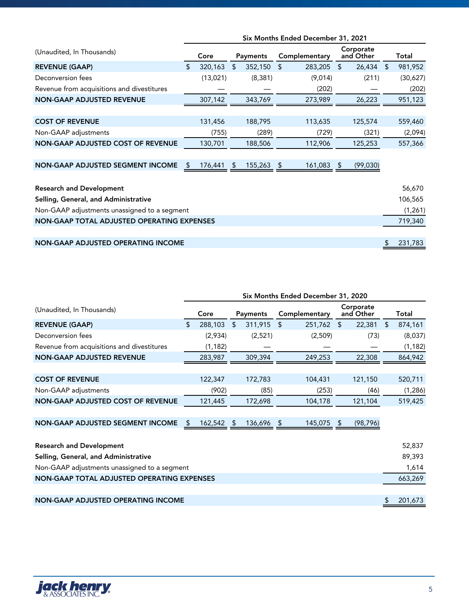|                                              | Six Months Ended December 31, 2021 |          |                |            |                |               |                |                        |    |          |
|----------------------------------------------|------------------------------------|----------|----------------|------------|----------------|---------------|----------------|------------------------|----|----------|
| (Unaudited, In Thousands)                    |                                    | Core     |                | Payments   |                | Complementary |                | Corporate<br>and Other |    | Total    |
| <b>REVENUE (GAAP)</b>                        | \$                                 | 320,163  | $\mathfrak{L}$ | 352,150    | $\mathfrak{L}$ | 283,205       | $\mathfrak{L}$ | 26,434                 | \$ | 981,952  |
| Deconversion fees                            |                                    | (13,021) |                | (8, 381)   |                | (9,014)       |                | (211)                  |    | (30,627) |
| Revenue from acquisitions and divestitures   |                                    |          |                |            |                | (202)         |                |                        |    | (202)    |
| <b>NON-GAAP ADJUSTED REVENUE</b>             |                                    | 307,142  |                | 343,769    |                | 273,989       |                | 26,223                 |    | 951,123  |
|                                              |                                    |          |                |            |                |               |                |                        |    |          |
| <b>COST OF REVENUE</b>                       |                                    | 131,456  |                | 188,795    |                | 113,635       |                | 125,574                |    | 559,460  |
| Non-GAAP adjustments                         |                                    | (755)    |                | (289)      |                | (729)         |                | (321)                  |    | (2,094)  |
| <b>NON-GAAP ADJUSTED COST OF REVENUE</b>     |                                    | 130,701  |                | 188,506    |                | 112,906       |                | 125,253                |    | 557,366  |
|                                              |                                    |          |                |            |                |               |                |                        |    |          |
| NON-GAAP ADJUSTED SEGMENT INCOME             | \$.                                | 176,441  | \$.            | 155,263 \$ |                | 161,083 \$    |                | (99,030)               |    |          |
|                                              |                                    |          |                |            |                |               |                |                        |    |          |
| <b>Research and Development</b>              |                                    |          |                |            |                |               |                |                        |    | 56,670   |
| Selling, General, and Administrative         |                                    |          |                |            |                |               |                |                        |    | 106,565  |
| Non-GAAP adjustments unassigned to a segment |                                    |          |                |            |                |               |                |                        |    | (1, 261) |
| NON-GAAP TOTAL ADJUSTED OPERATING EXPENSES   |                                    |          |                |            |                |               |                |                        |    | 719,340  |
|                                              |                                    |          |                |            |                |               |                |                        |    |          |
| <b>NON-GAAP ADJUSTED OPERATING INCOME</b>    |                                    |          |                |            |                |               |                |                        | \$ | 231,783  |

|                                              | Six Months Ended December 31, 2020 |          |                |            |                |               |     |                        |    |          |
|----------------------------------------------|------------------------------------|----------|----------------|------------|----------------|---------------|-----|------------------------|----|----------|
| (Unaudited, In Thousands)                    |                                    | Core     |                | Payments   |                | Complementary |     | Corporate<br>and Other |    | Total    |
| <b>REVENUE (GAAP)</b>                        | $\mathbf{\hat{z}}$                 | 288,103  | $\mathfrak{S}$ | 311,915    | $\mathfrak{L}$ | 251,762       | \$  | 22,381                 | \$ | 874,161  |
| Deconversion fees                            |                                    | (2,934)  |                | (2,521)    |                | (2,509)       |     | (73)                   |    | (8,037)  |
| Revenue from acquisitions and divestitures   |                                    | (1, 182) |                |            |                |               |     |                        |    | (1, 182) |
| <b>NON-GAAP ADJUSTED REVENUE</b>             |                                    | 283,987  |                | 309,394    |                | 249,253       |     | 22,308                 |    | 864,942  |
|                                              |                                    |          |                |            |                |               |     |                        |    |          |
| <b>COST OF REVENUE</b>                       |                                    | 122,347  |                | 172,783    |                | 104,431       |     | 121,150                |    | 520,711  |
| Non-GAAP adjustments                         |                                    | (902)    |                | (85)       |                | (253)         |     | (46)                   |    | (1,286)  |
| NON-GAAP ADJUSTED COST OF REVENUE            |                                    | 121,445  |                | 172,698    |                | 104,178       |     | 121,104                |    | 519,425  |
|                                              |                                    |          |                |            |                |               |     |                        |    |          |
| <b>NON-GAAP ADJUSTED SEGMENT INCOME</b>      | \$.                                | 162,542  | <sup>5</sup>   | 136,696 \$ |                | 145,075       | -\$ | (98, 796)              |    |          |
|                                              |                                    |          |                |            |                |               |     |                        |    |          |
| <b>Research and Development</b>              |                                    |          |                |            |                |               |     |                        |    | 52,837   |
| Selling, General, and Administrative         |                                    |          |                |            |                |               |     |                        |    | 89,393   |
| Non-GAAP adjustments unassigned to a segment |                                    |          |                |            |                |               |     |                        |    | 1,614    |
| NON-GAAP TOTAL ADJUSTED OPERATING EXPENSES   |                                    |          |                |            |                |               |     |                        |    | 663,269  |
|                                              |                                    |          |                |            |                |               |     |                        |    |          |
| <b>NON-GAAP ADJUSTED OPERATING INCOME</b>    |                                    |          |                |            |                |               |     |                        |    | 201,673  |

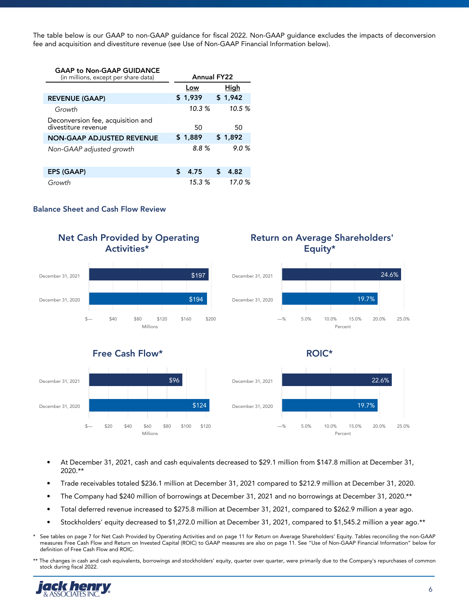The table below is our GAAP to non-GAAP guidance for fiscal 2022. Non-GAAP guidance excludes the impacts of deconversion fee and acquisition and divestiture revenue (see Use of Non-GAAP Financial Information below).

| <b>GAAP to Non-GAAP GUIDANCE</b>                         |                    |       |         |  |
|----------------------------------------------------------|--------------------|-------|---------|--|
| (in millions, except per share data)                     | <b>Annual FY22</b> |       |         |  |
|                                                          | Low                |       | High    |  |
| <b>REVENUE (GAAP)</b>                                    | \$1,939            |       | \$1,942 |  |
| Growth                                                   |                    | 10.3% | 10.5%   |  |
| Deconversion fee, acquisition and<br>divestiture revenue | 50                 |       | 50      |  |
| <b>NON-GAAP ADJUSTED REVENUE</b>                         | \$1,889            |       | \$1,892 |  |
| Non-GAAP adjusted growth                                 |                    | 8.8%  | 9.0%    |  |
|                                                          |                    |       |         |  |
| <b>EPS (GAAP)</b>                                        | \$<br>4.75         | \$    | 4.82    |  |
| Growth                                                   |                    | 15.3% | 17.0%   |  |

### **Balance Sheet and Cash Flow Review**



- At December 31, 2021, cash and cash equivalents decreased to \$29.1 million from \$147.8 million at December 31, 2020.\*\*
- Trade receivables totaled \$236.1 million at December 31, 2021 compared to \$212.9 million at December 31, 2020.
- The Company had \$240 million of borrowings at December 31, 2021 and no borrowings at December 31, 2020.\*\*
- Total deferred revenue increased to \$275.8 million at December 31, 2021, compared to \$262.9 million a year ago.
- Stockholders' equity decreased to \$1,272.0 million at December 31, 2021, compared to \$1,545.2 million a year ago.\*\*
- \* See tables on page 7 for Net Cash Provided by Operating Activities and on page 11 for Return on Average Shareholders' Equity. Tables reconciling the non-GAAP measures Free Cash Flow and Return on Invested Capital (ROIC) to GAAP measures are also on page 11. See "Use of Non-GAAP Financial Information" below for definition of Free Cash Flow and ROIC.
- \*\* The changes in cash and cash equivalents, borrowings and stockholders' equity, quarter over quarter, were primarily due to the Company's repurchases of common stock during fiscal 2022.

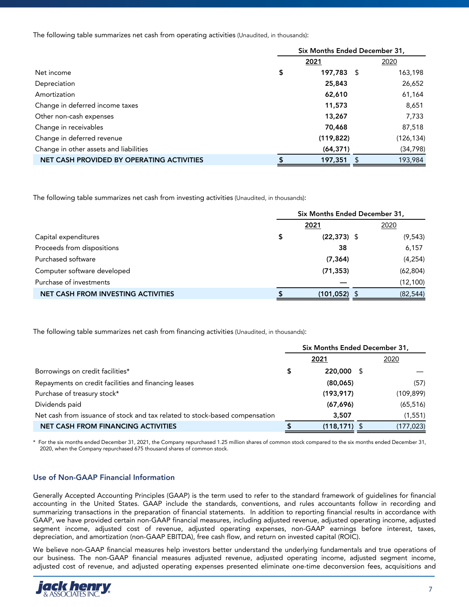The following table summarizes net cash from operating activities (Unaudited, in thousands):

|                                           | Six Months Ended December 31, |            |     |            |  |  |  |  |
|-------------------------------------------|-------------------------------|------------|-----|------------|--|--|--|--|
|                                           |                               | 2021       |     | 2020       |  |  |  |  |
| Net income                                | \$                            | 197,783    | - 5 | 163,198    |  |  |  |  |
| Depreciation                              |                               | 25,843     |     | 26,652     |  |  |  |  |
| Amortization                              |                               | 62,610     |     | 61,164     |  |  |  |  |
| Change in deferred income taxes           |                               | 11,573     |     | 8,651      |  |  |  |  |
| Other non-cash expenses                   |                               | 13,267     |     | 7,733      |  |  |  |  |
| Change in receivables                     |                               | 70,468     |     | 87,518     |  |  |  |  |
| Change in deferred revenue                |                               | (119, 822) |     | (126, 134) |  |  |  |  |
| Change in other assets and liabilities    |                               | (64, 371)  |     | (34, 798)  |  |  |  |  |
| NET CASH PROVIDED BY OPERATING ACTIVITIES |                               | 197,351    | Ъ   | 193,984    |  |  |  |  |

The following table summarizes net cash from investing activities (Unaudited, in thousands):

|                                           | Six Months Ended December 31, |                 |  |           |  |  |  |  |
|-------------------------------------------|-------------------------------|-----------------|--|-----------|--|--|--|--|
|                                           |                               | 2021            |  | 2020      |  |  |  |  |
| Capital expenditures                      |                               | $(22, 373)$ \$  |  | (9, 543)  |  |  |  |  |
| Proceeds from dispositions                |                               | 38              |  | 6,157     |  |  |  |  |
| Purchased software                        |                               | (7, 364)        |  | (4, 254)  |  |  |  |  |
| Computer software developed               |                               | (71, 353)       |  | (62, 804) |  |  |  |  |
| Purchase of investments                   |                               |                 |  | (12, 100) |  |  |  |  |
| <b>NET CASH FROM INVESTING ACTIVITIES</b> |                               | $(101, 052)$ \$ |  | (82, 544) |  |  |  |  |

The following table summarizes net cash from financing activities (Unaudited, in thousands):

|                                                                             | Six Months Ended December 31, |                 |      |            |  |
|-----------------------------------------------------------------------------|-------------------------------|-----------------|------|------------|--|
|                                                                             |                               | 2021            |      | 2020       |  |
| Borrowings on credit facilities*                                            | \$                            | 220,000         | - 55 |            |  |
| Repayments on credit facilities and financing leases                        |                               | (80,065)        |      | (57)       |  |
| Purchase of treasury stock*                                                 |                               | (193, 917)      |      | (109, 899) |  |
| Dividends paid                                                              |                               | (67, 696)       |      | (65, 516)  |  |
| Net cash from issuance of stock and tax related to stock-based compensation |                               | 3,507           |      | (1, 551)   |  |
| <b>NET CASH FROM FINANCING ACTIVITIES</b>                                   |                               | $(118, 171)$ \$ |      | (177, 023) |  |

\* For the six months ended December 31, 2021, the Company repurchased 1.25 million shares of common stock compared to the six months ended December 31, 2020, when the Company repurchased 675 thousand shares of common stock.

## **Use of Non-GAAP Financial Information**

Generally Accepted Accounting Principles (GAAP) is the term used to refer to the standard framework of guidelines for financial accounting in the United States. GAAP include the standards, conventions, and rules accountants follow in recording and summarizing transactions in the preparation of financial statements. In addition to reporting financial results in accordance with GAAP, we have provided certain non-GAAP financial measures, including adjusted revenue, adjusted operating income, adjusted segment income, adjusted cost of revenue, adjusted operating expenses, non-GAAP earnings before interest, taxes, depreciation, and amortization (non-GAAP EBITDA), free cash flow, and return on invested capital (ROIC).

We believe non-GAAP financial measures help investors better understand the underlying fundamentals and true operations of our business. The non-GAAP financial measures adjusted revenue, adjusted operating income, adjusted segment income, adjusted cost of revenue, and adjusted operating expenses presented eliminate one-time deconversion fees, acquisitions and

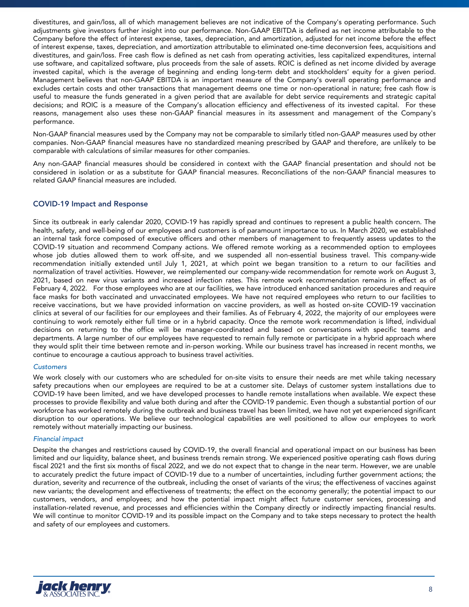divestitures, and gain/loss, all of which management believes are not indicative of the Company's operating performance. Such adjustments give investors further insight into our performance. Non-GAAP EBITDA is defined as net income attributable to the Company before the effect of interest expense, taxes, depreciation, and amortization, adjusted for net income before the effect of interest expense, taxes, depreciation, and amortization attributable to eliminated one-time deconversion fees, acquisitions and divestitures, and gain/loss. Free cash flow is defined as net cash from operating activities, less capitalized expenditures, internal use software, and capitalized software, plus proceeds from the sale of assets. ROIC is defined as net income divided by average invested capital, which is the average of beginning and ending long-term debt and stockholders' equity for a given period. Management believes that non-GAAP EBITDA is an important measure of the Company's overall operating performance and excludes certain costs and other transactions that management deems one time or non-operational in nature; free cash flow is useful to measure the funds generated in a given period that are available for debt service requirements and strategic capital decisions; and ROIC is a measure of the Company's allocation efficiency and effectiveness of its invested capital. For these reasons, management also uses these non-GAAP financial measures in its assessment and management of the Company's performance.

Non-GAAP financial measures used by the Company may not be comparable to similarly titled non-GAAP measures used by other companies. Non-GAAP financial measures have no standardized meaning prescribed by GAAP and therefore, are unlikely to be comparable with calculations of similar measures for other companies.

Any non-GAAP financial measures should be considered in context with the GAAP financial presentation and should not be considered in isolation or as a substitute for GAAP financial measures. Reconciliations of the non-GAAP financial measures to related GAAP financial measures are included.

## **COVID-19 Impact and Response**

Since its outbreak in early calendar 2020, COVID-19 has rapidly spread and continues to represent a public health concern. The health, safety, and well-being of our employees and customers is of paramount importance to us. In March 2020, we established an internal task force composed of executive officers and other members of management to frequently assess updates to the COVID-19 situation and recommend Company actions. We offered remote working as a recommended option to employees whose job duties allowed them to work off-site, and we suspended all non-essential business travel. This company-wide recommendation initially extended until July 1, 2021, at which point we began transition to a return to our facilities and normalization of travel activities. However, we reimplemented our company-wide recommendation for remote work on August 3, 2021, based on new virus variants and increased infection rates. This remote work recommendation remains in effect as of February 4, 2022. For those employees who are at our facilities, we have introduced enhanced sanitation procedures and require face masks for both vaccinated and unvaccinated employees. We have not required employees who return to our facilities to receive vaccinations, but we have provided information on vaccine providers, as well as hosted on-site COVID-19 vaccination clinics at several of our facilities for our employees and their families. As of February 4, 2022, the majority of our employees were continuing to work remotely either full time or in a hybrid capacity. Once the remote work recommendation is lifted, individual decisions on returning to the office will be manager-coordinated and based on conversations with specific teams and departments. A large number of our employees have requested to remain fully remote or participate in a hybrid approach where they would split their time between remote and in-person working. While our business travel has increased in recent months, we continue to encourage a cautious approach to business travel activities.

### *Customers*

We work closely with our customers who are scheduled for on-site visits to ensure their needs are met while taking necessary safety precautions when our employees are required to be at a customer site. Delays of customer system installations due to COVID-19 have been limited, and we have developed processes to handle remote installations when available. We expect these processes to provide flexibility and value both during and after the COVID-19 pandemic. Even though a substantial portion of our workforce has worked remotely during the outbreak and business travel has been limited, we have not yet experienced significant disruption to our operations. We believe our technological capabilities are well positioned to allow our employees to work remotely without materially impacting our business.

## *Financial impact*

Despite the changes and restrictions caused by COVID-19, the overall financial and operational impact on our business has been limited and our liquidity, balance sheet, and business trends remain strong. We experienced positive operating cash flows during fiscal 2021 and the first six months of fiscal 2022, and we do not expect that to change in the near term. However, we are unable to accurately predict the future impact of COVID-19 due to a number of uncertainties, including further government actions; the duration, severity and recurrence of the outbreak, including the onset of variants of the virus; the effectiveness of vaccines against new variants; the development and effectiveness of treatments; the effect on the economy generally; the potential impact to our customers, vendors, and employees; and how the potential impact might affect future customer services, processing and installation-related revenue, and processes and efficiencies within the Company directly or indirectly impacting financial results. We will continue to monitor COVID-19 and its possible impact on the Company and to take steps necessary to protect the health and safety of our employees and customers.

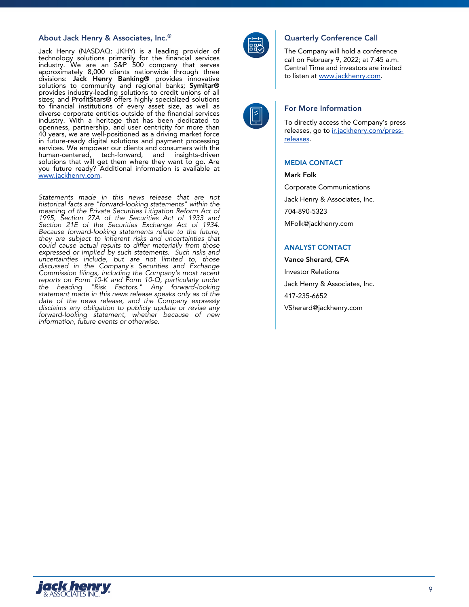### **About Jack Henry & Associates, Inc.® Quarterly Conference Call**

Jack Henry (NASDAQ: JKHY) is a leading provider of technology solutions primarily for the financial services industry. We are an S&P 500 company that serves approximately 8,000 clients nationwide through three divisions: **Jack Henry Banking®** provides innovative solutions to community and regional banks; **Symitar®** provides industry-leading solutions to credit unions of all sizes; and **ProfitStars®** offers highly specialized solutions to financial institutions of every asset size, as well as diverse corporate entities outside of the financial services industry. With a heritage that has been dedicated to openness, partnership, and user centricity for more than 40 years, we are well-positioned as a driving market force in future-ready digital solutions and payment processing services. We empower our clients and consumers with the human-centered, tech-forward, and insights-driven solutions that will get them where they want to go. Are you future ready? Additional information is available at www.jackhenry.com.

*Statements made in this news release that are not historical facts are "forward-looking statements" within the meaning of the Private Securities Litigation Reform Act of 1995, Section 27A of the Securities Act of 1933 and Section 21E of the Securities Exchange Act of 1934. Because forward-looking statements relate to the future, they are subject to inherent risks and uncertainties that could cause actual results to differ materially from those expressed or implied by such statements. Such risks and uncertainties include, but are not limited to, those discussed in the Company's Securities and Exchange Commission filings, including the Company's most recent reports on Form 10-K and Form 10-Q, particularly under the heading "Risk Factors." Any forward-looking statement made in this news release speaks only as of the date of the news release, and the Company expressly disclaims any obligation to publicly update or revise any forward-looking statement, whether because of new information, future events or otherwise.*



The Company will hold a conference call on February 9, 2022; at 7:45 a.m. Central Time and investors are invited to listen at www.jackhenry.com.



### **For More Information**

To directly access the Company's press releases, go to ir.jackhenry.com/pressreleases.

### **MEDIA CONTACT**

**Mark Folk**

Corporate Communications Jack Henry & Associates, Inc. 704-890-5323 MFolk@jackhenry.com

### **ANALYST CONTACT**

**Vance Sherard, CFA** Investor Relations Jack Henry & Associates, Inc. 417-235-6652 VSherard@jackhenry.com

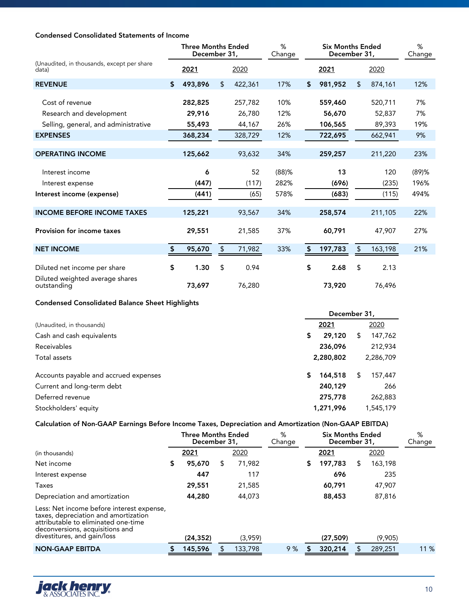# **Condensed Consolidated Statements of Income**

|                                                     | %<br><b>Three Months Ended</b><br><b>Six Months Ended</b><br>December 31,<br>December 31,<br>Change |         |    |         | %<br>Change |               |    |         |          |
|-----------------------------------------------------|-----------------------------------------------------------------------------------------------------|---------|----|---------|-------------|---------------|----|---------|----------|
| (Unaudited, in thousands, except per share<br>data) |                                                                                                     | 2021    |    | 2020    |             | 2021          |    | 2020    |          |
| <b>REVENUE</b>                                      | \$                                                                                                  | 493,896 | \$ | 422,361 | 17%         | \$<br>981,952 | \$ | 874,161 | 12%      |
| Cost of revenue                                     |                                                                                                     | 282,825 |    | 257,782 | 10%         | 559,460       |    | 520,711 | 7%       |
| Research and development                            |                                                                                                     | 29,916  |    | 26,780  | 12%         | 56,670        |    | 52,837  | 7%       |
| Selling, general, and administrative                |                                                                                                     | 55,493  |    | 44,167  | 26%         | 106,565       |    | 89,393  | 19%      |
| <b>EXPENSES</b>                                     |                                                                                                     | 368,234 |    | 328,729 | 12%         | 722,695       |    | 662,941 | 9%       |
| <b>OPERATING INCOME</b>                             |                                                                                                     | 125,662 |    | 93,632  | 34%         | 259,257       |    | 211,220 | 23%      |
| Interest income                                     |                                                                                                     | 6       |    | 52      | $(88)$ %    | 13            |    | 120     | $(89)$ % |
| Interest expense                                    |                                                                                                     | (447)   |    | (117)   | 282%        | (696)         |    | (235)   | 196%     |
| Interest income (expense)                           |                                                                                                     | (441)   |    | (65)    | 578%        | (683)         |    | (115)   | 494%     |
| <b>INCOME BEFORE INCOME TAXES</b>                   |                                                                                                     | 125,221 |    | 93,567  | 34%         | 258,574       |    | 211,105 | 22%      |
| <b>Provision for income taxes</b>                   |                                                                                                     | 29,551  |    | 21,585  | 37%         | 60,791        |    | 47,907  | 27%      |
| <b>NET INCOME</b>                                   |                                                                                                     | 95,670  | \$ | 71,982  | 33%         | \$<br>197,783 | \$ | 163,198 | 21%      |
| Diluted net income per share                        | \$                                                                                                  | 1.30    | \$ | 0.94    |             | \$<br>2.68    | \$ | 2.13    |          |
| Diluted weighted average shares<br>outstanding      |                                                                                                     | 73,697  |    | 76,280  |             | 73,920        |    | 76,496  |          |

# **Condensed Consolidated Balance Sheet Highlights**

|                                       | December 31,  |              |  |  |  |  |  |  |
|---------------------------------------|---------------|--------------|--|--|--|--|--|--|
| (Unaudited, in thousands)             | 2021          | 2020         |  |  |  |  |  |  |
| Cash and cash equivalents             | 29,120<br>\$  | 147,762<br>S |  |  |  |  |  |  |
| Receivables                           | 236,096       | 212,934      |  |  |  |  |  |  |
| Total assets                          | 2,280,802     | 2,286,709    |  |  |  |  |  |  |
| Accounts payable and accrued expenses | 164,518<br>S. | 157,447<br>S |  |  |  |  |  |  |
| Current and long-term debt            | 240,129       | 266          |  |  |  |  |  |  |
| Deferred revenue                      | 275,778       | 262,883      |  |  |  |  |  |  |
| Stockholders' equity                  | 1,271,996     | 1,545,179    |  |  |  |  |  |  |

# **Calculation of Non-GAAP Earnings Before Income Taxes, Depreciation and Amortization (Non-GAAP EBITDA)**

|                                                                                                                                                                                            |    | <b>Three Months Ended</b><br>December 31, |    |         | %<br>Change | <b>Six Months Ended</b><br>December 31, |           |    | %<br>Change |      |
|--------------------------------------------------------------------------------------------------------------------------------------------------------------------------------------------|----|-------------------------------------------|----|---------|-------------|-----------------------------------------|-----------|----|-------------|------|
| (in thousands)                                                                                                                                                                             |    | 2021                                      |    | 2020    |             |                                         | 2021      |    | 2020        |      |
| Net income                                                                                                                                                                                 | S. | 95,670                                    | SБ | 71,982  |             | 5                                       | 197,783   | \$ | 163,198     |      |
| Interest expense                                                                                                                                                                           |    | 447                                       |    | 117     |             |                                         | 696       |    | 235         |      |
| Taxes                                                                                                                                                                                      |    | 29,551                                    |    | 21,585  |             |                                         | 60,791    |    | 47,907      |      |
| Depreciation and amortization                                                                                                                                                              |    | 44,280                                    |    | 44,073  |             |                                         | 88,453    |    | 87,816      |      |
| Less: Net income before interest expense,<br>taxes, depreciation and amortization<br>attributable to eliminated one-time<br>deconversions, acquisitions and<br>divestitures, and gain/loss |    | (24, 352)                                 |    | (3,959) |             |                                         | (27, 509) |    | (9,905)     |      |
| <b>NON-GAAP EBITDA</b>                                                                                                                                                                     |    | 145,596                                   |    | 133,798 | 9%          |                                         | 320,214   |    | 289,251     | 11 % |